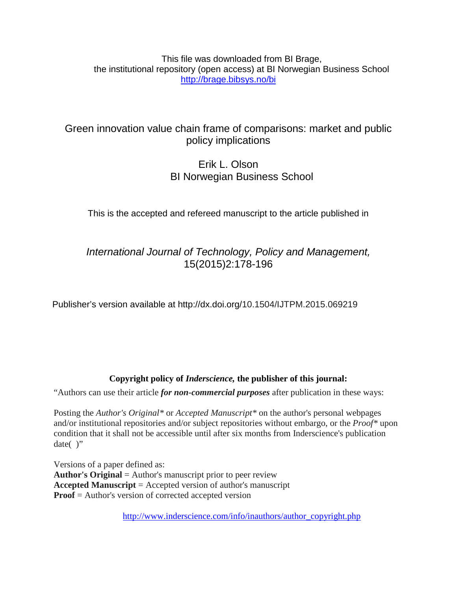This file was downloaded from BI Brage, the institutional repository (open access) at BI Norwegian Business School <http://brage.bibsys.no/bi>

# Green innovation value chain frame of comparisons: market and public policy implications

# Erik L. Olson BI Norwegian Business School

This is the accepted and refereed manuscript to the article published in

*International Journal of Technology, Policy and Management,* 15(2015)2:178-196

Publisher's version available at http://dx.doi.org/10.1504/IJTPM.2015.069219

# **Copyright policy of** *Inderscience,* **the publisher of this journal:**

"Authors can use their article *for non-commercial purposes* after publication in these ways:

Posting the *Author's Original\** or *Accepted Manuscript\** on the author's personal webpages and/or institutional repositories and/or subject repositories without embargo, or the *Proof\** upon condition that it shall not be accessible until after six months from Inderscience's publication date $()$ "

Versions of a paper defined as: **Author's Original** = Author's manuscript prior to peer review **Accepted Manuscript** = Accepted version of author's manuscript **Proof** = Author's version of corrected accepted version

[http://www.inderscience.com/info/inauthors/author\\_copyright.php](http://www.inderscience.com/info/inauthors/author_copyright.php)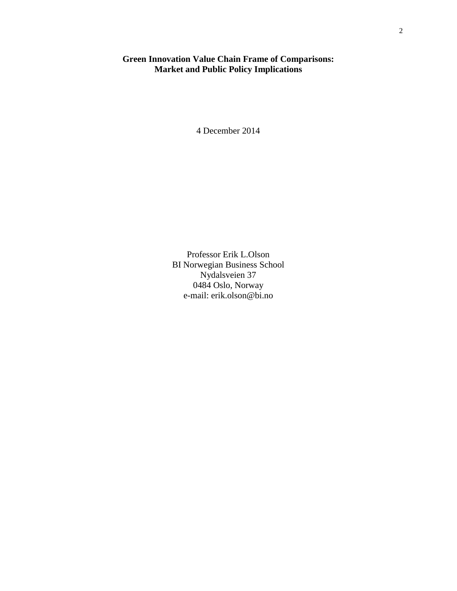## **Green Innovation Value Chain Frame of Comparisons: Market and Public Policy Implications**

4 December 2014

Professor Erik L.Olson BI Norwegian Business School Nydalsveien 37 0484 Oslo, Norway e-mail: erik.olson@bi.no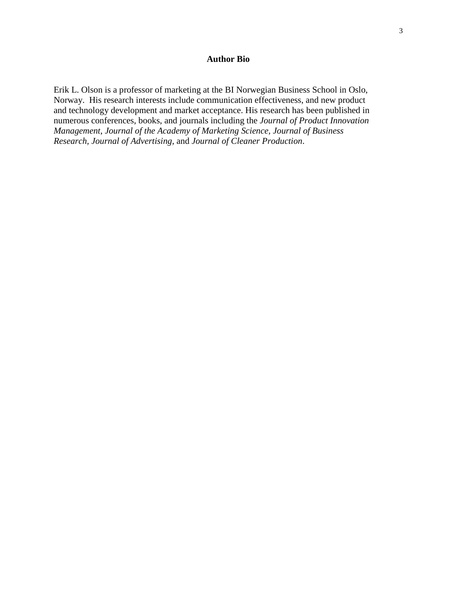## **Author Bio**

Erik L. Olson is a professor of marketing at the BI Norwegian Business School in Oslo, Norway. His research interests include communication effectiveness, and new product and technology development and market acceptance. His research has been published in numerous conferences, books, and journals including the *Journal of Product Innovation Management*, *Journal of the Academy of Marketing Science, Journal of Business Research, Journal of Advertising*, and *Journal of Cleaner Production*.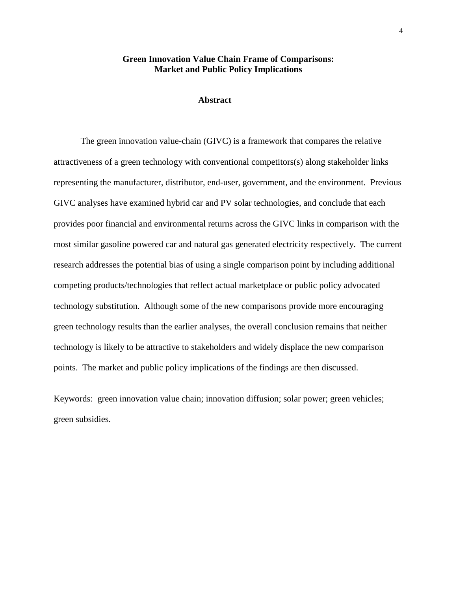## **Green Innovation Value Chain Frame of Comparisons: Market and Public Policy Implications**

## **Abstract**

The green innovation value-chain (GIVC) is a framework that compares the relative attractiveness of a green technology with conventional competitors(s) along stakeholder links representing the manufacturer, distributor, end-user, government, and the environment. Previous GIVC analyses have examined hybrid car and PV solar technologies, and conclude that each provides poor financial and environmental returns across the GIVC links in comparison with the most similar gasoline powered car and natural gas generated electricity respectively. The current research addresses the potential bias of using a single comparison point by including additional competing products/technologies that reflect actual marketplace or public policy advocated technology substitution. Although some of the new comparisons provide more encouraging green technology results than the earlier analyses, the overall conclusion remains that neither technology is likely to be attractive to stakeholders and widely displace the new comparison points. The market and public policy implications of the findings are then discussed.

Keywords: green innovation value chain; innovation diffusion; solar power; green vehicles; green subsidies.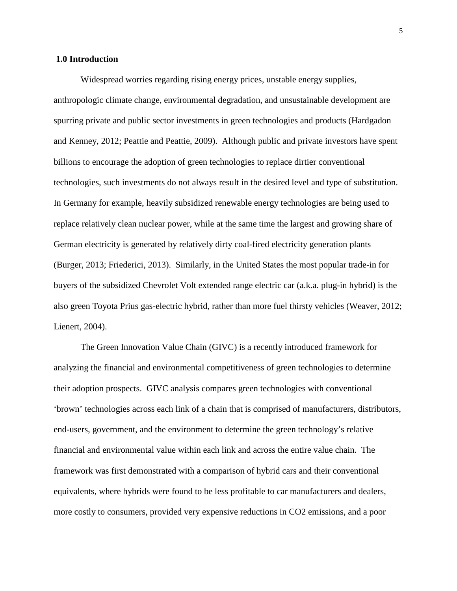## **1.0 Introduction**

Widespread worries regarding rising energy prices, unstable energy supplies, anthropologic climate change, environmental degradation, and unsustainable development are spurring private and public sector investments in green technologies and products (Hardgadon and Kenney, 2012; Peattie and Peattie, 2009). Although public and private investors have spent billions to encourage the adoption of green technologies to replace dirtier conventional technologies, such investments do not always result in the desired level and type of substitution. In Germany for example, heavily subsidized renewable energy technologies are being used to replace relatively clean nuclear power, while at the same time the largest and growing share of German electricity is generated by relatively dirty coal-fired electricity generation plants (Burger, 2013; Friederici, 2013). Similarly, in the United States the most popular trade-in for buyers of the subsidized Chevrolet Volt extended range electric car (a.k.a. plug-in hybrid) is the also green Toyota Prius gas-electric hybrid, rather than more fuel thirsty vehicles (Weaver, 2012; Lienert, 2004).

The Green Innovation Value Chain (GIVC) is a recently introduced framework for analyzing the financial and environmental competitiveness of green technologies to determine their adoption prospects. GIVC analysis compares green technologies with conventional 'brown' technologies across each link of a chain that is comprised of manufacturers, distributors, end-users, government, and the environment to determine the green technology's relative financial and environmental value within each link and across the entire value chain. The framework was first demonstrated with a comparison of hybrid cars and their conventional equivalents, where hybrids were found to be less profitable to car manufacturers and dealers, more costly to consumers, provided very expensive reductions in CO2 emissions, and a poor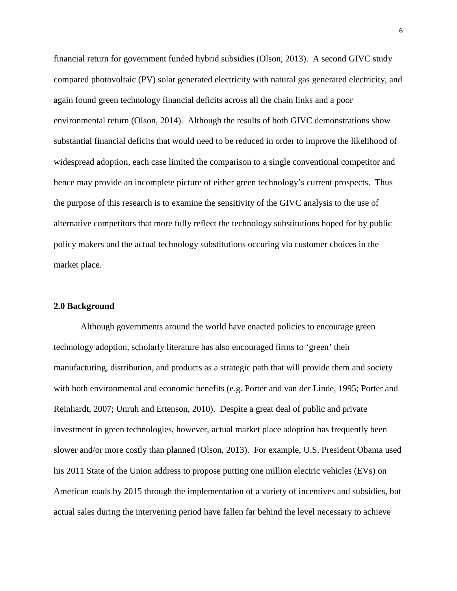financial return for government funded hybrid subsidies (Olson, 2013). A second GIVC study compared photovoltaic (PV) solar generated electricity with natural gas generated electricity, and again found green technology financial deficits across all the chain links and a poor environmental return (Olson, 2014). Although the results of both GIVC demonstrations show substantial financial deficits that would need to be reduced in order to improve the likelihood of widespread adoption, each case limited the comparison to a single conventional competitor and hence may provide an incomplete picture of either green technology's current prospects. Thus the purpose of this research is to examine the sensitivity of the GIVC analysis to the use of alternative competitors that more fully reflect the technology substitutions hoped for by public policy makers and the actual technology substitutions occuring via customer choices in the market place.

## **2.0 Background**

Although governments around the world have enacted policies to encourage green technology adoption, scholarly literature has also encouraged firms to 'green' their manufacturing, distribution, and products as a strategic path that will provide them and society with both environmental and economic benefits (e.g. Porter and van der Linde, 1995; Porter and Reinhardt, 2007; Unruh and Ettenson, 2010). Despite a great deal of public and private investment in green technologies, however, actual market place adoption has frequently been slower and/or more costly than planned (Olson, 2013). For example, U.S. President Obama used his 2011 State of the Union address to propose putting one million electric vehicles (EVs) on American roads by 2015 through the implementation of a variety of incentives and subsidies, but actual sales during the intervening period have fallen far behind the level necessary to achieve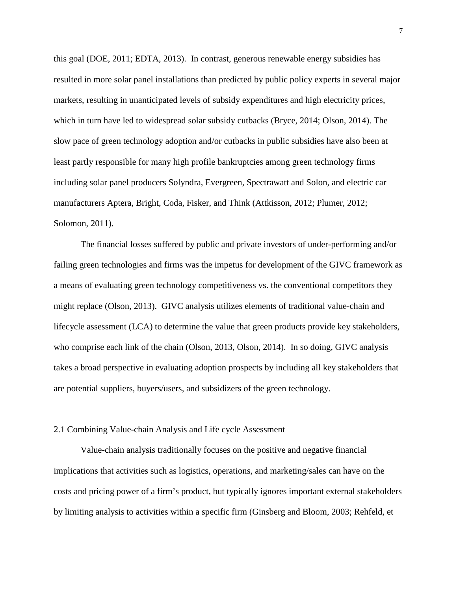this goal (DOE, 2011; EDTA, 2013). In contrast, generous renewable energy subsidies has resulted in more solar panel installations than predicted by public policy experts in several major markets, resulting in unanticipated levels of subsidy expenditures and high electricity prices, which in turn have led to widespread solar subsidy cutbacks (Bryce, 2014; Olson, 2014). The slow pace of green technology adoption and/or cutbacks in public subsidies have also been at least partly responsible for many high profile bankruptcies among green technology firms including solar panel producers Solyndra, Evergreen, Spectrawatt and Solon, and electric car manufacturers Aptera, Bright, Coda, Fisker, and Think (Attkisson, 2012; Plumer, 2012; Solomon, 2011).

The financial losses suffered by public and private investors of under-performing and/or failing green technologies and firms was the impetus for development of the GIVC framework as a means of evaluating green technology competitiveness vs. the conventional competitors they might replace (Olson, 2013). GIVC analysis utilizes elements of traditional value-chain and lifecycle assessment (LCA) to determine the value that green products provide key stakeholders, who comprise each link of the chain (Olson, 2013, Olson, 2014). In so doing, GIVC analysis takes a broad perspective in evaluating adoption prospects by including all key stakeholders that are potential suppliers, buyers/users, and subsidizers of the green technology.

## 2.1 Combining Value-chain Analysis and Life cycle Assessment

Value-chain analysis traditionally focuses on the positive and negative financial implications that activities such as logistics, operations, and marketing/sales can have on the costs and pricing power of a firm's product, but typically ignores important external stakeholders by limiting analysis to activities within a specific firm (Ginsberg and Bloom, 2003; Rehfeld, et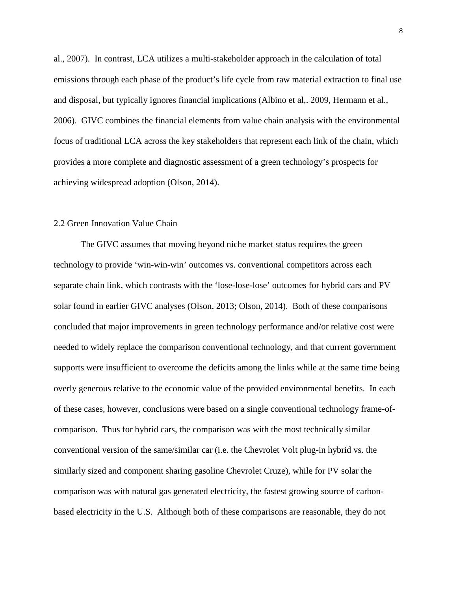al., 2007). In contrast, LCA utilizes a multi-stakeholder approach in the calculation of total emissions through each phase of the product's life cycle from raw material extraction to final use and disposal, but typically ignores financial implications (Albino et al,. 2009, Hermann et al., 2006). GIVC combines the financial elements from value chain analysis with the environmental focus of traditional LCA across the key stakeholders that represent each link of the chain, which provides a more complete and diagnostic assessment of a green technology's prospects for achieving widespread adoption (Olson, 2014).

## 2.2 Green Innovation Value Chain

The GIVC assumes that moving beyond niche market status requires the green technology to provide 'win-win-win' outcomes vs. conventional competitors across each separate chain link, which contrasts with the 'lose-lose-lose' outcomes for hybrid cars and PV solar found in earlier GIVC analyses (Olson, 2013; Olson, 2014). Both of these comparisons concluded that major improvements in green technology performance and/or relative cost were needed to widely replace the comparison conventional technology, and that current government supports were insufficient to overcome the deficits among the links while at the same time being overly generous relative to the economic value of the provided environmental benefits. In each of these cases, however, conclusions were based on a single conventional technology frame-ofcomparison. Thus for hybrid cars, the comparison was with the most technically similar conventional version of the same/similar car (i.e. the Chevrolet Volt plug-in hybrid vs. the similarly sized and component sharing gasoline Chevrolet Cruze), while for PV solar the comparison was with natural gas generated electricity, the fastest growing source of carbonbased electricity in the U.S. Although both of these comparisons are reasonable, they do not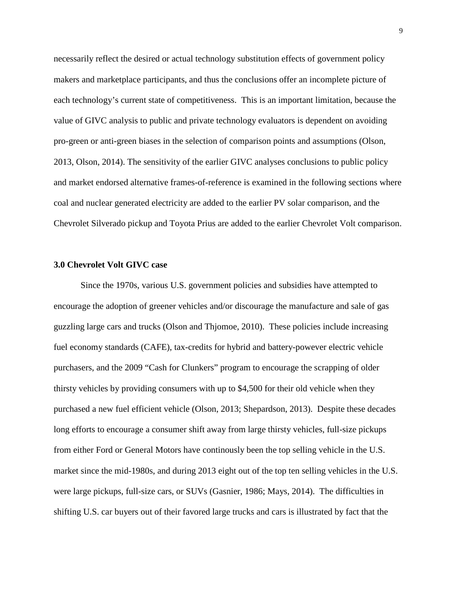necessarily reflect the desired or actual technology substitution effects of government policy makers and marketplace participants, and thus the conclusions offer an incomplete picture of each technology's current state of competitiveness. This is an important limitation, because the value of GIVC analysis to public and private technology evaluators is dependent on avoiding pro-green or anti-green biases in the selection of comparison points and assumptions (Olson, 2013, Olson, 2014). The sensitivity of the earlier GIVC analyses conclusions to public policy and market endorsed alternative frames-of-reference is examined in the following sections where coal and nuclear generated electricity are added to the earlier PV solar comparison, and the Chevrolet Silverado pickup and Toyota Prius are added to the earlier Chevrolet Volt comparison.

#### **3.0 Chevrolet Volt GIVC case**

Since the 1970s, various U.S. government policies and subsidies have attempted to encourage the adoption of greener vehicles and/or discourage the manufacture and sale of gas guzzling large cars and trucks (Olson and Thjomoe, 2010). These policies include increasing fuel economy standards (CAFE), tax-credits for hybrid and battery-powever electric vehicle purchasers, and the 2009 "Cash for Clunkers" program to encourage the scrapping of older thirsty vehicles by providing consumers with up to \$4,500 for their old vehicle when they purchased a new fuel efficient vehicle (Olson, 2013; Shepardson, 2013). Despite these decades long efforts to encourage a consumer shift away from large thirsty vehicles, full-size pickups from either Ford or General Motors have continously been the top selling vehicle in the U.S. market since the mid-1980s, and during 2013 eight out of the top ten selling vehicles in the U.S. were large pickups, full-size cars, or SUVs (Gasnier, 1986; Mays, 2014). The difficulties in shifting U.S. car buyers out of their favored large trucks and cars is illustrated by fact that the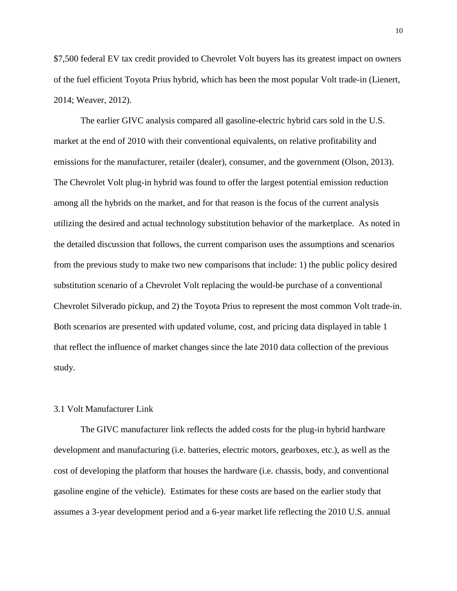\$7,500 federal EV tax credit provided to Chevrolet Volt buyers has its greatest impact on owners of the fuel efficient Toyota Prius hybrid, which has been the most popular Volt trade-in (Lienert, 2014; Weaver, 2012).

The earlier GIVC analysis compared all gasoline-electric hybrid cars sold in the U.S. market at the end of 2010 with their conventional equivalents, on relative profitability and emissions for the manufacturer, retailer (dealer), consumer, and the government (Olson, 2013). The Chevrolet Volt plug-in hybrid was found to offer the largest potential emission reduction among all the hybrids on the market, and for that reason is the focus of the current analysis utilizing the desired and actual technology substitution behavior of the marketplace. As noted in the detailed discussion that follows, the current comparison uses the assumptions and scenarios from the previous study to make two new comparisons that include: 1) the public policy desired substitution scenario of a Chevrolet Volt replacing the would-be purchase of a conventional Chevrolet Silverado pickup, and 2) the Toyota Prius to represent the most common Volt trade-in. Both scenarios are presented with updated volume, cost, and pricing data displayed in table 1 that reflect the influence of market changes since the late 2010 data collection of the previous study.

## 3.1 Volt Manufacturer Link

The GIVC manufacturer link reflects the added costs for the plug-in hybrid hardware development and manufacturing (i.e. batteries, electric motors, gearboxes, etc.), as well as the cost of developing the platform that houses the hardware (i.e. chassis, body, and conventional gasoline engine of the vehicle). Estimates for these costs are based on the earlier study that assumes a 3-year development period and a 6-year market life reflecting the 2010 U.S. annual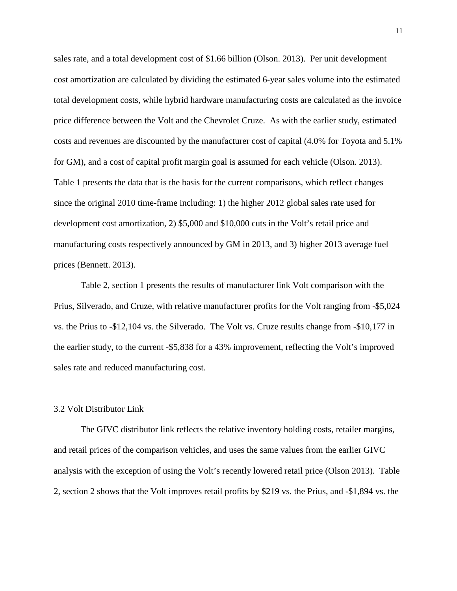sales rate, and a total development cost of \$1.66 billion (Olson. 2013). Per unit development cost amortization are calculated by dividing the estimated 6-year sales volume into the estimated total development costs, while hybrid hardware manufacturing costs are calculated as the invoice price difference between the Volt and the Chevrolet Cruze. As with the earlier study, estimated costs and revenues are discounted by the manufacturer cost of capital (4.0% for Toyota and 5.1% for GM), and a cost of capital profit margin goal is assumed for each vehicle (Olson. 2013). Table 1 presents the data that is the basis for the current comparisons, which reflect changes since the original 2010 time-frame including: 1) the higher 2012 global sales rate used for development cost amortization, 2) \$5,000 and \$10,000 cuts in the Volt's retail price and manufacturing costs respectively announced by GM in 2013, and 3) higher 2013 average fuel prices (Bennett. 2013).

Table 2, section 1 presents the results of manufacturer link Volt comparison with the Prius, Silverado, and Cruze, with relative manufacturer profits for the Volt ranging from -\$5,024 vs. the Prius to -\$12,104 vs. the Silverado. The Volt vs. Cruze results change from -\$10,177 in the earlier study, to the current -\$5,838 for a 43% improvement, reflecting the Volt's improved sales rate and reduced manufacturing cost.

#### 3.2 Volt Distributor Link

The GIVC distributor link reflects the relative inventory holding costs, retailer margins, and retail prices of the comparison vehicles, and uses the same values from the earlier GIVC analysis with the exception of using the Volt's recently lowered retail price (Olson 2013). Table 2, section 2 shows that the Volt improves retail profits by \$219 vs. the Prius, and -\$1,894 vs. the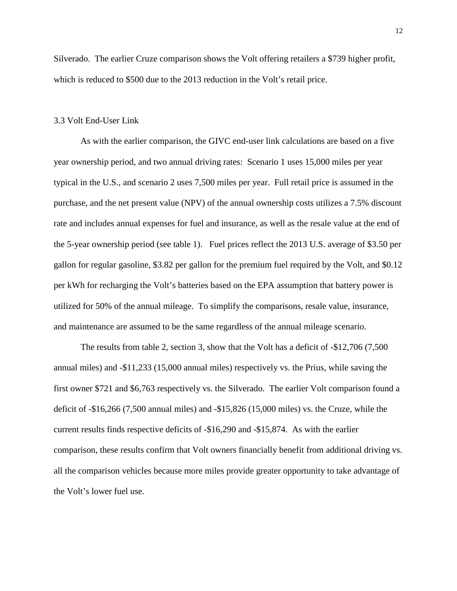Silverado. The earlier Cruze comparison shows the Volt offering retailers a \$739 higher profit, which is reduced to \$500 due to the 2013 reduction in the Volt's retail price.

#### 3.3 Volt End-User Link

As with the earlier comparison, the GIVC end-user link calculations are based on a five year ownership period, and two annual driving rates: Scenario 1 uses 15,000 miles per year typical in the U.S., and scenario 2 uses 7,500 miles per year. Full retail price is assumed in the purchase, and the net present value (NPV) of the annual ownership costs utilizes a 7.5% discount rate and includes annual expenses for fuel and insurance, as well as the resale value at the end of the 5-year ownership period (see table 1). Fuel prices reflect the 2013 U.S. average of \$3.50 per gallon for regular gasoline, \$3.82 per gallon for the premium fuel required by the Volt, and \$0.12 per kWh for recharging the Volt's batteries based on the EPA assumption that battery power is utilized for 50% of the annual mileage. To simplify the comparisons, resale value, insurance, and maintenance are assumed to be the same regardless of the annual mileage scenario.

The results from table 2, section 3, show that the Volt has a deficit of -\$12,706 (7,500 annual miles) and -\$11,233 (15,000 annual miles) respectively vs. the Prius, while saving the first owner \$721 and \$6,763 respectively vs. the Silverado. The earlier Volt comparison found a deficit of -\$16,266 (7,500 annual miles) and -\$15,826 (15,000 miles) vs. the Cruze, while the current results finds respective deficits of -\$16,290 and -\$15,874. As with the earlier comparison, these results confirm that Volt owners financially benefit from additional driving vs. all the comparison vehicles because more miles provide greater opportunity to take advantage of the Volt's lower fuel use.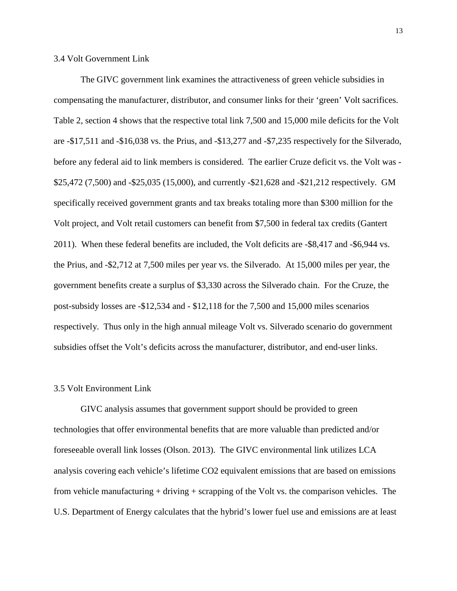3.4 Volt Government Link

The GIVC government link examines the attractiveness of green vehicle subsidies in compensating the manufacturer, distributor, and consumer links for their 'green' Volt sacrifices. Table 2, section 4 shows that the respective total link 7,500 and 15,000 mile deficits for the Volt are -\$17,511 and -\$16,038 vs. the Prius, and -\$13,277 and -\$7,235 respectively for the Silverado, before any federal aid to link members is considered. The earlier Cruze deficit vs. the Volt was - \$25,472 (7,500) and -\$25,035 (15,000), and currently -\$21,628 and -\$21,212 respectively. GM specifically received government grants and tax breaks totaling more than \$300 million for the Volt project, and Volt retail customers can benefit from \$7,500 in federal tax credits (Gantert 2011). When these federal benefits are included, the Volt deficits are -\$8,417 and -\$6,944 vs. the Prius, and -\$2,712 at 7,500 miles per year vs. the Silverado. At 15,000 miles per year, the government benefits create a surplus of \$3,330 across the Silverado chain. For the Cruze, the post-subsidy losses are -\$12,534 and - \$12,118 for the 7,500 and 15,000 miles scenarios respectively. Thus only in the high annual mileage Volt vs. Silverado scenario do government subsidies offset the Volt's deficits across the manufacturer, distributor, and end-user links.

#### 3.5 Volt Environment Link

GIVC analysis assumes that government support should be provided to green technologies that offer environmental benefits that are more valuable than predicted and/or foreseeable overall link losses (Olson. 2013). The GIVC environmental link utilizes LCA analysis covering each vehicle's lifetime CO2 equivalent emissions that are based on emissions from vehicle manufacturing + driving + scrapping of the Volt vs. the comparison vehicles. The U.S. Department of Energy calculates that the hybrid's lower fuel use and emissions are at least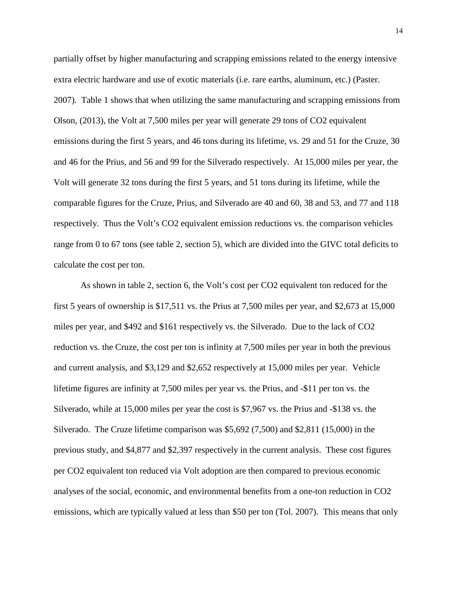partially offset by higher manufacturing and scrapping emissions related to the energy intensive extra electric hardware and use of exotic materials (i.e. rare earths, aluminum, etc.) (Paster. 2007). Table 1 shows that when utilizing the same manufacturing and scrapping emissions from Olson, (2013), the Volt at 7,500 miles per year will generate 29 tons of CO2 equivalent emissions during the first 5 years, and 46 tons during its lifetime, vs. 29 and 51 for the Cruze, 30 and 46 for the Prius, and 56 and 99 for the Silverado respectively. At 15,000 miles per year, the Volt will generate 32 tons during the first 5 years, and 51 tons during its lifetime, while the comparable figures for the Cruze, Prius, and Silverado are 40 and 60, 38 and 53, and 77 and 118 respectively. Thus the Volt's CO2 equivalent emission reductions vs. the comparison vehicles range from 0 to 67 tons (see table 2, section 5), which are divided into the GIVC total deficits to calculate the cost per ton.

As shown in table 2, section 6, the Volt's cost per CO2 equivalent ton reduced for the first 5 years of ownership is \$17,511 vs. the Prius at 7,500 miles per year, and \$2,673 at 15,000 miles per year, and \$492 and \$161 respectively vs. the Silverado. Due to the lack of CO2 reduction vs. the Cruze, the cost per ton is infinity at 7,500 miles per year in both the previous and current analysis, and \$3,129 and \$2,652 respectively at 15,000 miles per year. Vehicle lifetime figures are infinity at 7,500 miles per year vs. the Prius, and -\$11 per ton vs. the Silverado, while at 15,000 miles per year the cost is \$7,967 vs. the Prius and -\$138 vs. the Silverado. The Cruze lifetime comparison was \$5,692 (7,500) and \$2,811 (15,000) in the previous study, and \$4,877 and \$2,397 respectively in the current analysis. These cost figures per CO2 equivalent ton reduced via Volt adoption are then compared to previous economic analyses of the social, economic, and environmental benefits from a one-ton reduction in CO2 emissions, which are typically valued at less than \$50 per ton (Tol. 2007). This means that only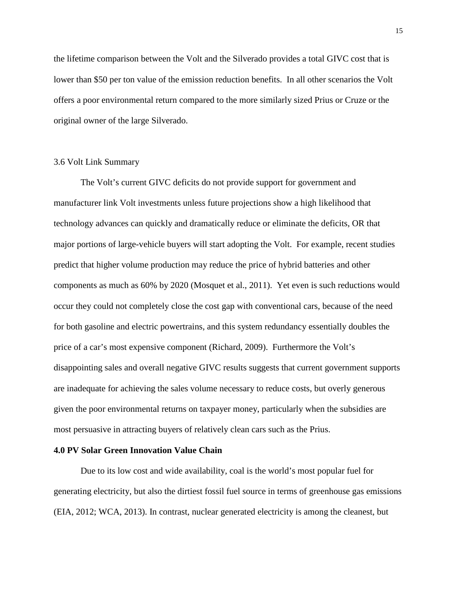the lifetime comparison between the Volt and the Silverado provides a total GIVC cost that is lower than \$50 per ton value of the emission reduction benefits. In all other scenarios the Volt offers a poor environmental return compared to the more similarly sized Prius or Cruze or the original owner of the large Silverado.

## 3.6 Volt Link Summary

The Volt's current GIVC deficits do not provide support for government and manufacturer link Volt investments unless future projections show a high likelihood that technology advances can quickly and dramatically reduce or eliminate the deficits, OR that major portions of large-vehicle buyers will start adopting the Volt. For example, recent studies predict that higher volume production may reduce the price of hybrid batteries and other components as much as 60% by 2020 (Mosquet et al., 2011). Yet even is such reductions would occur they could not completely close the cost gap with conventional cars, because of the need for both gasoline and electric powertrains, and this system redundancy essentially doubles the price of a car's most expensive component (Richard, 2009). Furthermore the Volt's disappointing sales and overall negative GIVC results suggests that current government supports are inadequate for achieving the sales volume necessary to reduce costs, but overly generous given the poor environmental returns on taxpayer money, particularly when the subsidies are most persuasive in attracting buyers of relatively clean cars such as the Prius.

#### **4.0 PV Solar Green Innovation Value Chain**

Due to its low cost and wide availability, coal is the world's most popular fuel for generating electricity, but also the dirtiest fossil fuel source in terms of greenhouse gas emissions (EIA, 2012; WCA, 2013). In contrast, nuclear generated electricity is among the cleanest, but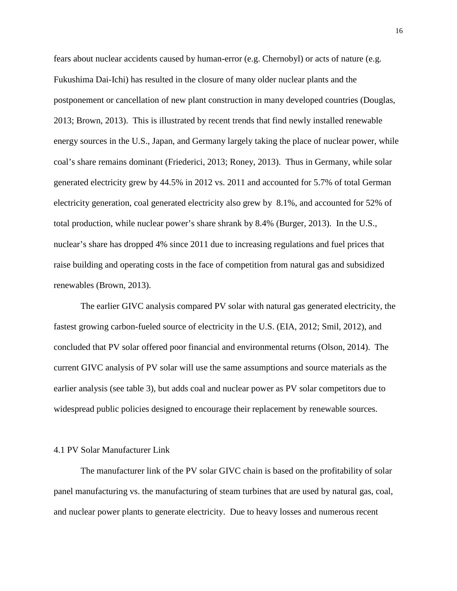fears about nuclear accidents caused by human-error (e.g. Chernobyl) or acts of nature (e.g. Fukushima Dai-Ichi) has resulted in the closure of many older nuclear plants and the postponement or cancellation of new plant construction in many developed countries (Douglas, 2013; Brown, 2013). This is illustrated by recent trends that find newly installed renewable energy sources in the U.S., Japan, and Germany largely taking the place of nuclear power, while coal's share remains dominant (Friederici, 2013; Roney, 2013). Thus in Germany, while solar generated electricity grew by 44.5% in 2012 vs. 2011 and accounted for 5.7% of total German electricity generation, coal generated electricity also grew by 8.1%, and accounted for 52% of total production, while nuclear power's share shrank by 8.4% (Burger, 2013). In the U.S., nuclear's share has dropped 4% since 2011 due to increasing regulations and fuel prices that raise building and operating costs in the face of competition from natural gas and subsidized renewables (Brown, 2013).

The earlier GIVC analysis compared PV solar with natural gas generated electricity, the fastest growing carbon-fueled source of electricity in the U.S. (EIA, 2012; Smil, 2012), and concluded that PV solar offered poor financial and environmental returns (Olson, 2014). The current GIVC analysis of PV solar will use the same assumptions and source materials as the earlier analysis (see table 3), but adds coal and nuclear power as PV solar competitors due to widespread public policies designed to encourage their replacement by renewable sources.

## 4.1 PV Solar Manufacturer Link

The manufacturer link of the PV solar GIVC chain is based on the profitability of solar panel manufacturing vs. the manufacturing of steam turbines that are used by natural gas, coal, and nuclear power plants to generate electricity. Due to heavy losses and numerous recent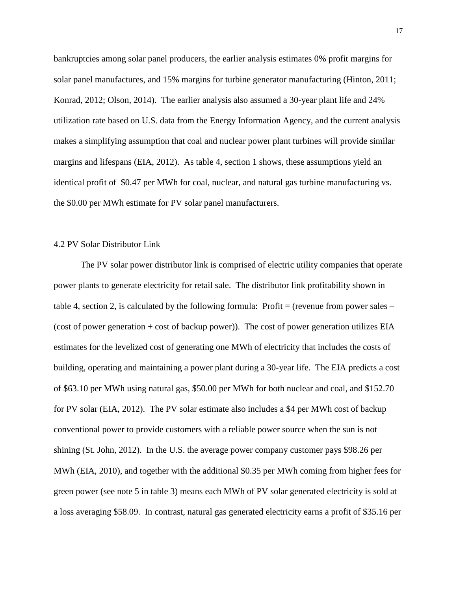bankruptcies among solar panel producers, the earlier analysis estimates 0% profit margins for solar panel manufactures, and 15% margins for turbine generator manufacturing (Hinton, 2011; Konrad, 2012; Olson, 2014). The earlier analysis also assumed a 30-year plant life and 24% utilization rate based on U.S. data from the Energy Information Agency, and the current analysis makes a simplifying assumption that coal and nuclear power plant turbines will provide similar margins and lifespans (EIA, 2012). As table 4, section 1 shows, these assumptions yield an identical profit of \$0.47 per MWh for coal, nuclear, and natural gas turbine manufacturing vs. the \$0.00 per MWh estimate for PV solar panel manufacturers.

## 4.2 PV Solar Distributor Link

The PV solar power distributor link is comprised of electric utility companies that operate power plants to generate electricity for retail sale. The distributor link profitability shown in table 4, section 2, is calculated by the following formula: Profit = (revenue from power sales – (cost of power generation + cost of backup power)). The cost of power generation utilizes EIA estimates for the levelized cost of generating one MWh of electricity that includes the costs of building, operating and maintaining a power plant during a 30-year life. The EIA predicts a cost of \$63.10 per MWh using natural gas, \$50.00 per MWh for both nuclear and coal, and \$152.70 for PV solar (EIA, 2012). The PV solar estimate also includes a \$4 per MWh cost of backup conventional power to provide customers with a reliable power source when the sun is not shining (St. John, 2012). In the U.S. the average power company customer pays \$98.26 per MWh (EIA, 2010), and together with the additional \$0.35 per MWh coming from higher fees for green power (see note 5 in table 3) means each MWh of PV solar generated electricity is sold at a loss averaging \$58.09. In contrast, natural gas generated electricity earns a profit of \$35.16 per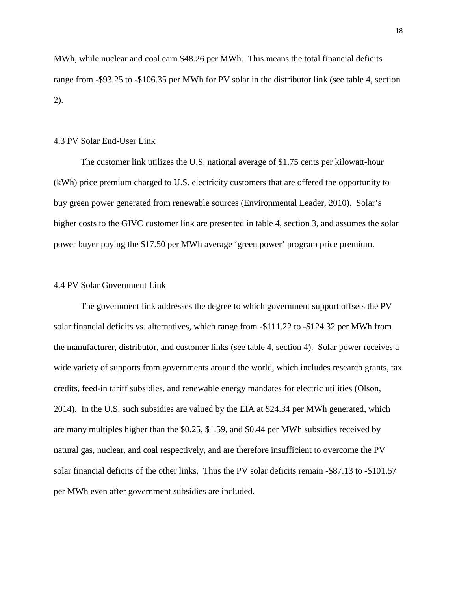MWh, while nuclear and coal earn \$48.26 per MWh. This means the total financial deficits range from -\$93.25 to -\$106.35 per MWh for PV solar in the distributor link (see table 4, section 2).

#### 4.3 PV Solar End-User Link

The customer link utilizes the U.S. national average of \$1.75 cents per kilowatt-hour (kWh) price premium charged to U.S. electricity customers that are offered the opportunity to buy green power generated from renewable sources (Environmental Leader, 2010). Solar's higher costs to the GIVC customer link are presented in table 4, section 3, and assumes the solar power buyer paying the \$17.50 per MWh average 'green power' program price premium.

## 4.4 PV Solar Government Link

The government link addresses the degree to which government support offsets the PV solar financial deficits vs. alternatives, which range from -\$111.22 to -\$124.32 per MWh from the manufacturer, distributor, and customer links (see table 4, section 4). Solar power receives a wide variety of supports from governments around the world, which includes research grants, tax credits, feed-in tariff subsidies, and renewable energy mandates for electric utilities (Olson, 2014). In the U.S. such subsidies are valued by the EIA at \$24.34 per MWh generated, which are many multiples higher than the \$0.25, \$1.59, and \$0.44 per MWh subsidies received by natural gas, nuclear, and coal respectively, and are therefore insufficient to overcome the PV solar financial deficits of the other links. Thus the PV solar deficits remain -\$87.13 to -\$101.57 per MWh even after government subsidies are included.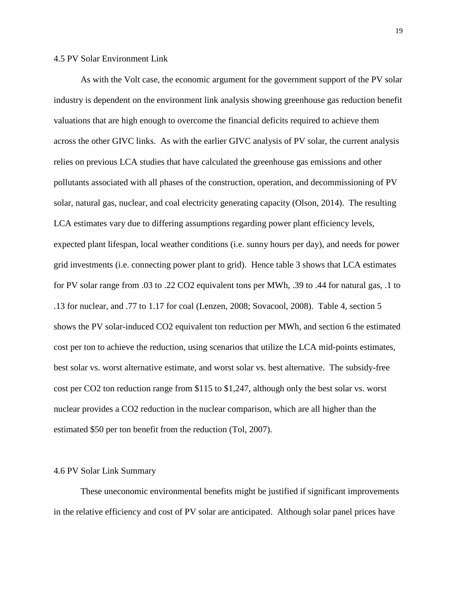#### 4.5 PV Solar Environment Link

As with the Volt case, the economic argument for the government support of the PV solar industry is dependent on the environment link analysis showing greenhouse gas reduction benefit valuations that are high enough to overcome the financial deficits required to achieve them across the other GIVC links. As with the earlier GIVC analysis of PV solar, the current analysis relies on previous LCA studies that have calculated the greenhouse gas emissions and other pollutants associated with all phases of the construction, operation, and decommissioning of PV solar, natural gas, nuclear, and coal electricity generating capacity (Olson, 2014). The resulting LCA estimates vary due to differing assumptions regarding power plant efficiency levels, expected plant lifespan, local weather conditions (i.e. sunny hours per day), and needs for power grid investments (i.e. connecting power plant to grid). Hence table 3 shows that LCA estimates for PV solar range from .03 to .22 CO2 equivalent tons per MWh, .39 to .44 for natural gas, .1 to .13 for nuclear, and .77 to 1.17 for coal (Lenzen, 2008; Sovacool, 2008). Table 4, section 5 shows the PV solar-induced CO2 equivalent ton reduction per MWh, and section 6 the estimated cost per ton to achieve the reduction, using scenarios that utilize the LCA mid-points estimates, best solar vs. worst alternative estimate, and worst solar vs. best alternative. The subsidy-free cost per CO2 ton reduction range from \$115 to \$1,247, although only the best solar vs. worst nuclear provides a CO2 reduction in the nuclear comparison, which are all higher than the estimated \$50 per ton benefit from the reduction (Tol, 2007).

#### 4.6 PV Solar Link Summary

These uneconomic environmental benefits might be justified if significant improvements in the relative efficiency and cost of PV solar are anticipated. Although solar panel prices have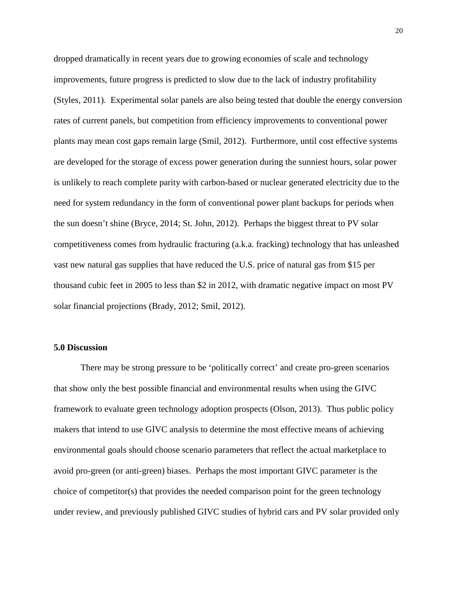dropped dramatically in recent years due to growing economies of scale and technology improvements, future progress is predicted to slow due to the lack of industry profitability (Styles, 2011). Experimental solar panels are also being tested that double the energy conversion rates of current panels, but competition from efficiency improvements to conventional power plants may mean cost gaps remain large (Smil, 2012). Furthermore, until cost effective systems are developed for the storage of excess power generation during the sunniest hours, solar power is unlikely to reach complete parity with carbon-based or nuclear generated electricity due to the need for system redundancy in the form of conventional power plant backups for periods when the sun doesn't shine (Bryce, 2014; St. John, 2012). Perhaps the biggest threat to PV solar competitiveness comes from hydraulic fracturing (a.k.a. fracking) technology that has unleashed vast new natural gas supplies that have reduced the U.S. price of natural gas from \$15 per thousand cubic feet in 2005 to less than \$2 in 2012, with dramatic negative impact on most PV solar financial projections (Brady, 2012; Smil, 2012).

## **5.0 Discussion**

There may be strong pressure to be 'politically correct' and create pro-green scenarios that show only the best possible financial and environmental results when using the GIVC framework to evaluate green technology adoption prospects (Olson, 2013). Thus public policy makers that intend to use GIVC analysis to determine the most effective means of achieving environmental goals should choose scenario parameters that reflect the actual marketplace to avoid pro-green (or anti-green) biases. Perhaps the most important GIVC parameter is the choice of competitor(s) that provides the needed comparison point for the green technology under review, and previously published GIVC studies of hybrid cars and PV solar provided only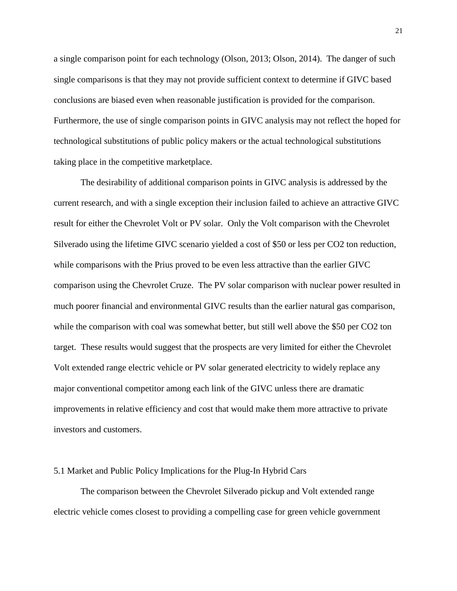a single comparison point for each technology (Olson, 2013; Olson, 2014). The danger of such single comparisons is that they may not provide sufficient context to determine if GIVC based conclusions are biased even when reasonable justification is provided for the comparison. Furthermore, the use of single comparison points in GIVC analysis may not reflect the hoped for technological substitutions of public policy makers or the actual technological substitutions taking place in the competitive marketplace.

The desirability of additional comparison points in GIVC analysis is addressed by the current research, and with a single exception their inclusion failed to achieve an attractive GIVC result for either the Chevrolet Volt or PV solar. Only the Volt comparison with the Chevrolet Silverado using the lifetime GIVC scenario yielded a cost of \$50 or less per CO2 ton reduction, while comparisons with the Prius proved to be even less attractive than the earlier GIVC comparison using the Chevrolet Cruze. The PV solar comparison with nuclear power resulted in much poorer financial and environmental GIVC results than the earlier natural gas comparison, while the comparison with coal was somewhat better, but still well above the \$50 per CO2 ton target. These results would suggest that the prospects are very limited for either the Chevrolet Volt extended range electric vehicle or PV solar generated electricity to widely replace any major conventional competitor among each link of the GIVC unless there are dramatic improvements in relative efficiency and cost that would make them more attractive to private investors and customers.

#### 5.1 Market and Public Policy Implications for the Plug-In Hybrid Cars

The comparison between the Chevrolet Silverado pickup and Volt extended range electric vehicle comes closest to providing a compelling case for green vehicle government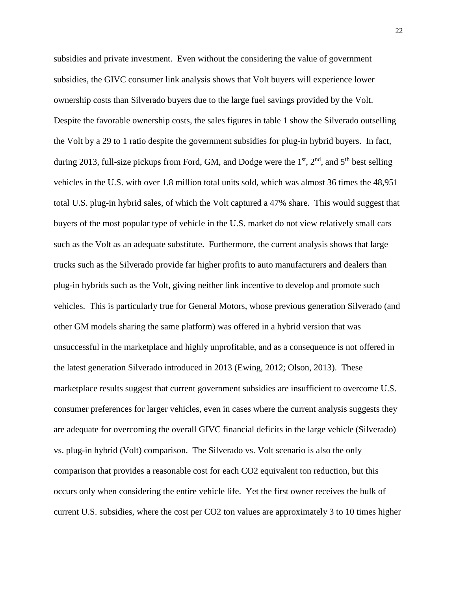subsidies and private investment. Even without the considering the value of government subsidies, the GIVC consumer link analysis shows that Volt buyers will experience lower ownership costs than Silverado buyers due to the large fuel savings provided by the Volt. Despite the favorable ownership costs, the sales figures in table 1 show the Silverado outselling the Volt by a 29 to 1 ratio despite the government subsidies for plug-in hybrid buyers. In fact, during 2013, full-size pickups from Ford, GM, and Dodge were the  $1<sup>st</sup>$ ,  $2<sup>nd</sup>$ , and  $5<sup>th</sup>$  best selling vehicles in the U.S. with over 1.8 million total units sold, which was almost 36 times the 48,951 total U.S. plug-in hybrid sales, of which the Volt captured a 47% share. This would suggest that buyers of the most popular type of vehicle in the U.S. market do not view relatively small cars such as the Volt as an adequate substitute. Furthermore, the current analysis shows that large trucks such as the Silverado provide far higher profits to auto manufacturers and dealers than plug-in hybrids such as the Volt, giving neither link incentive to develop and promote such vehicles. This is particularly true for General Motors, whose previous generation Silverado (and other GM models sharing the same platform) was offered in a hybrid version that was unsuccessful in the marketplace and highly unprofitable, and as a consequence is not offered in the latest generation Silverado introduced in 2013 (Ewing, 2012; Olson, 2013). These marketplace results suggest that current government subsidies are insufficient to overcome U.S. consumer preferences for larger vehicles, even in cases where the current analysis suggests they are adequate for overcoming the overall GIVC financial deficits in the large vehicle (Silverado) vs. plug-in hybrid (Volt) comparison. The Silverado vs. Volt scenario is also the only comparison that provides a reasonable cost for each CO2 equivalent ton reduction, but this occurs only when considering the entire vehicle life. Yet the first owner receives the bulk of current U.S. subsidies, where the cost per CO2 ton values are approximately 3 to 10 times higher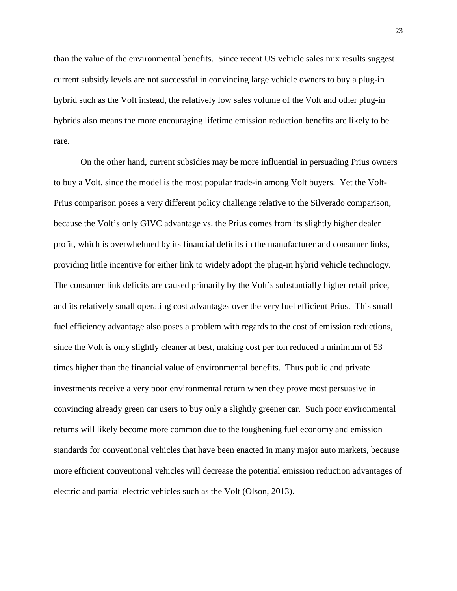than the value of the environmental benefits. Since recent US vehicle sales mix results suggest current subsidy levels are not successful in convincing large vehicle owners to buy a plug-in hybrid such as the Volt instead, the relatively low sales volume of the Volt and other plug-in hybrids also means the more encouraging lifetime emission reduction benefits are likely to be rare.

On the other hand, current subsidies may be more influential in persuading Prius owners to buy a Volt, since the model is the most popular trade-in among Volt buyers. Yet the Volt-Prius comparison poses a very different policy challenge relative to the Silverado comparison, because the Volt's only GIVC advantage vs. the Prius comes from its slightly higher dealer profit, which is overwhelmed by its financial deficits in the manufacturer and consumer links, providing little incentive for either link to widely adopt the plug-in hybrid vehicle technology. The consumer link deficits are caused primarily by the Volt's substantially higher retail price, and its relatively small operating cost advantages over the very fuel efficient Prius. This small fuel efficiency advantage also poses a problem with regards to the cost of emission reductions, since the Volt is only slightly cleaner at best, making cost per ton reduced a minimum of 53 times higher than the financial value of environmental benefits. Thus public and private investments receive a very poor environmental return when they prove most persuasive in convincing already green car users to buy only a slightly greener car. Such poor environmental returns will likely become more common due to the toughening fuel economy and emission standards for conventional vehicles that have been enacted in many major auto markets, because more efficient conventional vehicles will decrease the potential emission reduction advantages of electric and partial electric vehicles such as the Volt (Olson, 2013).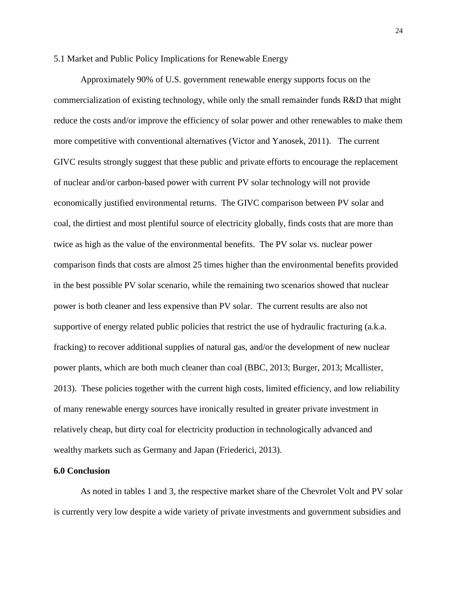## 5.1 Market and Public Policy Implications for Renewable Energy

Approximately 90% of U.S. government renewable energy supports focus on the commercialization of existing technology, while only the small remainder funds R&D that might reduce the costs and/or improve the efficiency of solar power and other renewables to make them more competitive with conventional alternatives (Victor and Yanosek, 2011). The current GIVC results strongly suggest that these public and private efforts to encourage the replacement of nuclear and/or carbon-based power with current PV solar technology will not provide economically justified environmental returns. The GIVC comparison between PV solar and coal, the dirtiest and most plentiful source of electricity globally, finds costs that are more than twice as high as the value of the environmental benefits. The PV solar vs. nuclear power comparison finds that costs are almost 25 times higher than the environmental benefits provided in the best possible PV solar scenario, while the remaining two scenarios showed that nuclear power is both cleaner and less expensive than PV solar. The current results are also not supportive of energy related public policies that restrict the use of hydraulic fracturing (a.k.a. fracking) to recover additional supplies of natural gas, and/or the development of new nuclear power plants, which are both much cleaner than coal (BBC, 2013; Burger, 2013; Mcallister, 2013). These policies together with the current high costs, limited efficiency, and low reliability of many renewable energy sources have ironically resulted in greater private investment in relatively cheap, but dirty coal for electricity production in technologically advanced and wealthy markets such as Germany and Japan (Friederici, 2013).

#### **6.0 Conclusion**

As noted in tables 1 and 3, the respective market share of the Chevrolet Volt and PV solar is currently very low despite a wide variety of private investments and government subsidies and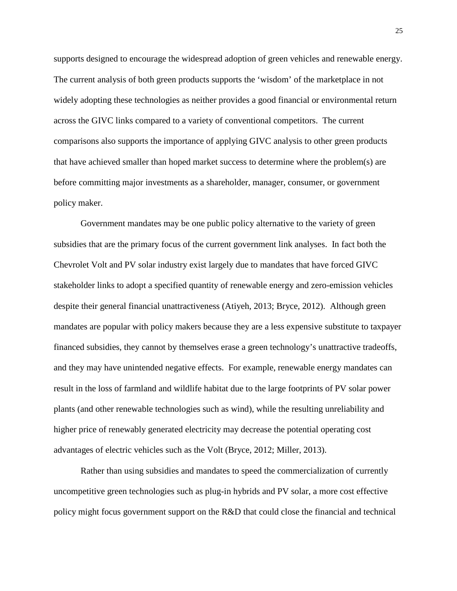supports designed to encourage the widespread adoption of green vehicles and renewable energy. The current analysis of both green products supports the 'wisdom' of the marketplace in not widely adopting these technologies as neither provides a good financial or environmental return across the GIVC links compared to a variety of conventional competitors. The current comparisons also supports the importance of applying GIVC analysis to other green products that have achieved smaller than hoped market success to determine where the problem(s) are before committing major investments as a shareholder, manager, consumer, or government policy maker.

Government mandates may be one public policy alternative to the variety of green subsidies that are the primary focus of the current government link analyses. In fact both the Chevrolet Volt and PV solar industry exist largely due to mandates that have forced GIVC stakeholder links to adopt a specified quantity of renewable energy and zero-emission vehicles despite their general financial unattractiveness (Atiyeh, 2013; Bryce, 2012). Although green mandates are popular with policy makers because they are a less expensive substitute to taxpayer financed subsidies, they cannot by themselves erase a green technology's unattractive tradeoffs, and they may have unintended negative effects. For example, renewable energy mandates can result in the loss of farmland and wildlife habitat due to the large footprints of PV solar power plants (and other renewable technologies such as wind), while the resulting unreliability and higher price of renewably generated electricity may decrease the potential operating cost advantages of electric vehicles such as the Volt (Bryce, 2012; Miller, 2013).

Rather than using subsidies and mandates to speed the commercialization of currently uncompetitive green technologies such as plug-in hybrids and PV solar, a more cost effective policy might focus government support on the R&D that could close the financial and technical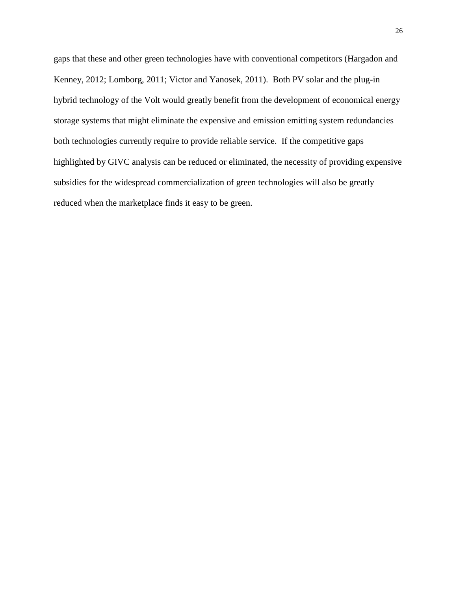gaps that these and other green technologies have with conventional competitors (Hargadon and Kenney, 2012; Lomborg, 2011; Victor and Yanosek, 2011). Both PV solar and the plug-in hybrid technology of the Volt would greatly benefit from the development of economical energy storage systems that might eliminate the expensive and emission emitting system redundancies both technologies currently require to provide reliable service. If the competitive gaps highlighted by GIVC analysis can be reduced or eliminated, the necessity of providing expensive subsidies for the widespread commercialization of green technologies will also be greatly reduced when the marketplace finds it easy to be green.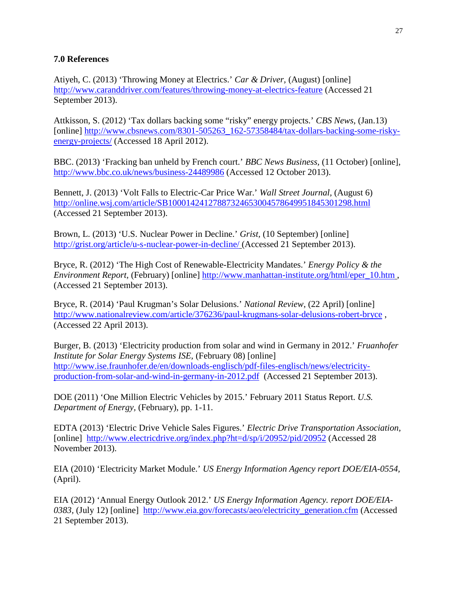## **7.0 References**

Atiyeh, C. (2013) 'Throwing Money at Electrics.' *Car & Driver,* (August) [online] <http://www.caranddriver.com/features/throwing-money-at-electrics-feature> (Accessed 21 September 2013).

Attkisson, S. (2012) 'Tax dollars backing some "risky" energy projects.' *CBS News,* (Jan.13) [online] [http://www.cbsnews.com/8301-505263\\_162-57358484/tax-dollars-backing-some-risky](http://www.cbsnews.com/8301-505263_162-57358484/tax-dollars-backing-some-risky-energy-projects/)[energy-projects/](http://www.cbsnews.com/8301-505263_162-57358484/tax-dollars-backing-some-risky-energy-projects/) (Accessed 18 April 2012).

BBC. (2013) 'Fracking ban unheld by French court.' *BBC News Business,* (11 October) [online], <http://www.bbc.co.uk/news/business-24489986> (Accessed 12 October 2013).

Bennett, J. (2013) 'Volt Falls to Electric-Car Price War.' *Wall Street Journal,* (August 6) <http://online.wsj.com/article/SB10001424127887324653004578649951845301298.html> (Accessed 21 September 2013).

Brown, L. (2013) 'U.S. Nuclear Power in Decline.' *Grist,* (10 September) [online] <http://grist.org/article/u-s-nuclear-power-in-decline/> (Accessed 21 September 2013).

Bryce, R. (2012) 'The High Cost of Renewable-Electricity Mandates.' *Energy Policy & the Environment Report,* (February) [online] [http://www.manhattan-institute.org/html/eper\\_10.htm](http://www.manhattan-institute.org/html/eper_10.htm) , (Accessed 21 September 2013).

Bryce, R. (2014) 'Paul Krugman's Solar Delusions.' *National Review*, (22 April) [online] <http://www.nationalreview.com/article/376236/paul-krugmans-solar-delusions-robert-bryce> , (Accessed 22 April 2013).

Burger, B. (2013) 'Electricity production from solar and wind in Germany in 2012.' *Fruanhofer Institute for Solar Energy Systems ISE,* (February 08) [online] [http://www.ise.fraunhofer.de/en/downloads-englisch/pdf-files-englisch/news/electricity](http://www.ise.fraunhofer.de/en/downloads-englisch/pdf-files-englisch/news/electricity-production-from-solar-and-wind-in-germany-in-2012.pdf)[production-from-solar-and-wind-in-germany-in-2012.pdf](http://www.ise.fraunhofer.de/en/downloads-englisch/pdf-files-englisch/news/electricity-production-from-solar-and-wind-in-germany-in-2012.pdf) (Accessed 21 September 2013).

DOE (2011) 'One Million Electric Vehicles by 2015.' February 2011 Status Report. *U.S. Department of Energy,* (February), pp. 1-11.

EDTA (2013) 'Electric Drive Vehicle Sales Figures.' *Electric Drive Transportation Association,*  [online]<http://www.electricdrive.org/index.php?ht=d/sp/i/20952/pid/20952> (Accessed 28 November 2013).

EIA (2010) 'Electricity Market Module.' *US Energy Information Agency report DOE/EIA-0554,*  (April).

EIA (2012) 'Annual Energy Outlook 2012.' *US Energy Information Agency. report DOE/EIA-0383,* (July 12) [online] [http://www.eia.gov/forecasts/aeo/electricity\\_generation.cfm](http://www.eia.gov/forecasts/aeo/electricity_generation.cfm) (Accessed 21 September 2013).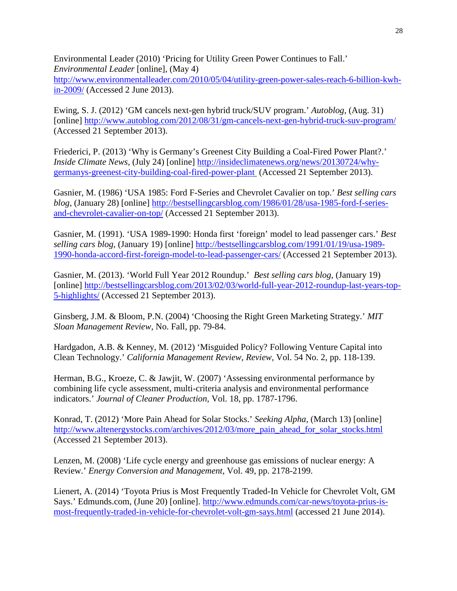Environmental Leader (2010) 'Pricing for Utility Green Power Continues to Fall.' *Environmental Leader* [online], (May 4)

[http://www.environmentalleader.com/2010/05/04/utility-green-power-sales-reach-6-billion-kwh](http://www.environmentalleader.com/2010/05/04/utility-green-power-sales-reach-6-billion-kwh-in-2009/)[in-2009/](http://www.environmentalleader.com/2010/05/04/utility-green-power-sales-reach-6-billion-kwh-in-2009/) (Accessed 2 June 2013).

Ewing, S. J. (2012) 'GM cancels next-gen hybrid truck/SUV program.' *Autoblog,* (Aug. 31) [online]<http://www.autoblog.com/2012/08/31/gm-cancels-next-gen-hybrid-truck-suv-program/> (Accessed 21 September 2013).

Friederici, P. (2013) 'Why is Germany's Greenest City Building a Coal-Fired Power Plant?.' *Inside Climate News,* (July 24) [online] [http://insideclimatenews.org/news/20130724/why](http://insideclimatenews.org/news/20130724/why-germanys-greenest-city-building-coal-fired-power-plant)[germanys-greenest-city-building-coal-fired-power-plant](http://insideclimatenews.org/news/20130724/why-germanys-greenest-city-building-coal-fired-power-plant) (Accessed 21 September 2013).

Gasnier, M. (1986) 'USA 1985: Ford F-Series and Chevrolet Cavalier on top.' *Best selling cars blog,* (January 28) [online] [http://bestsellingcarsblog.com/1986/01/28/usa-1985-ford-f-series](http://bestsellingcarsblog.com/1986/01/28/usa-1985-ford-f-series-and-chevrolet-cavalier-on-top/)[and-chevrolet-cavalier-on-top/](http://bestsellingcarsblog.com/1986/01/28/usa-1985-ford-f-series-and-chevrolet-cavalier-on-top/) (Accessed 21 September 2013).

Gasnier, M. (1991). 'USA 1989-1990: Honda first 'foreign' model to lead passenger cars.' *Best selling cars blog,* (January 19) [online] [http://bestsellingcarsblog.com/1991/01/19/usa-1989-](http://bestsellingcarsblog.com/1991/01/19/usa-1989-1990-honda-accord-first-foreign-model-to-lead-passenger-cars/) [1990-honda-accord-first-foreign-model-to-lead-passenger-cars/](http://bestsellingcarsblog.com/1991/01/19/usa-1989-1990-honda-accord-first-foreign-model-to-lead-passenger-cars/) (Accessed 21 September 2013).

Gasnier, M. (2013). 'World Full Year 2012 Roundup.' *Best selling cars blog,* (January 19) [online] [http://bestsellingcarsblog.com/2013/02/03/world-full-year-2012-roundup-last-years-top-](http://bestsellingcarsblog.com/2013/02/03/world-full-year-2012-roundup-last-years-top-5-highlights/)[5-highlights/](http://bestsellingcarsblog.com/2013/02/03/world-full-year-2012-roundup-last-years-top-5-highlights/) (Accessed 21 September 2013).

Ginsberg, J.M. & Bloom, P.N. (2004) 'Choosing the Right Green Marketing Strategy.' *MIT Sloan Management Review,* No. Fall, pp. 79-84.

Hardgadon, A.B. & Kenney, M. (2012) 'Misguided Policy? Following Venture Capital into Clean Technology.' *California Management Review*, *Review,* Vol. 54 No. 2, pp. 118-139.

Herman, B.G., Kroeze, C. & Jawjit, W. (2007) 'Assessing environmental performance by combining life cycle assessment, multi-criteria analysis and environmental performance indicators.' *Journal of Cleaner Production,* Vol. 18, pp. 1787-1796.

Konrad, T. (2012) 'More Pain Ahead for Solar Stocks.' *Seeking Alpha,* (March 13) [online] [http://www.altenergystocks.com/archives/2012/03/more\\_pain\\_ahead\\_for\\_solar\\_stocks.html](http://www.altenergystocks.com/archives/2012/03/more_pain_ahead_for_solar_stocks.html) (Accessed 21 September 2013).

Lenzen, M. (2008) 'Life cycle energy and greenhouse gas emissions of nuclear energy: A Review.' *Energy Conversion and Management*, Vol. 49, pp. 2178-2199.

Lienert, A. (2014) 'Toyota Prius is Most Frequently Traded-In Vehicle for Chevrolet Volt, GM Says.' Edmunds.com, (June 20) [online]. [http://www.edmunds.com/car-news/toyota-prius-is](http://www.edmunds.com/car-news/toyota-prius-is-most-frequently-traded-in-vehicle-for-chevrolet-volt-gm-says.html)[most-frequently-traded-in-vehicle-for-chevrolet-volt-gm-says.html](http://www.edmunds.com/car-news/toyota-prius-is-most-frequently-traded-in-vehicle-for-chevrolet-volt-gm-says.html) (accessed 21 June 2014).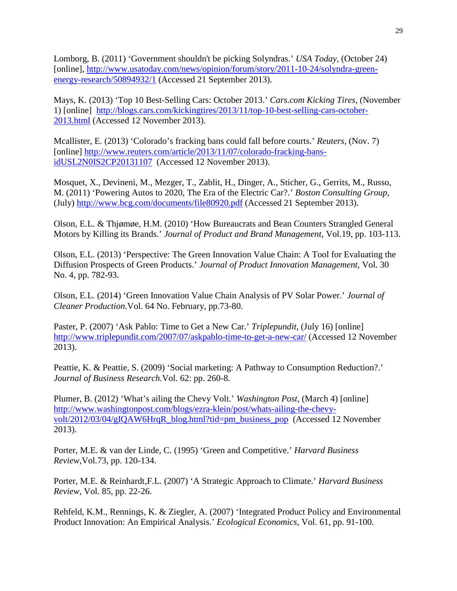Lomborg, B. (2011) 'Government shouldn't be picking Solyndras.' *USA Today,* (October 24) [online], [http://www.usatoday.com/news/opinion/forum/story/2011-10-24/solyndra-green](http://www.usatoday.com/news/opinion/forum/story/2011-10-24/solyndra-green-energy-research/50894932/1)[energy-research/50894932/1](http://www.usatoday.com/news/opinion/forum/story/2011-10-24/solyndra-green-energy-research/50894932/1) (Accessed 21 September 2013).

Mays, K. (2013) 'Top 10 Best-Selling Cars: October 2013.' *Cars.com Kicking Tires,* (November 1) [online] [http://blogs.cars.com/kickingtires/2013/11/top-10-best-selling-cars-october-](http://blogs.cars.com/kickingtires/2013/11/top-10-best-selling-cars-october-2013.html)[2013.html](http://blogs.cars.com/kickingtires/2013/11/top-10-best-selling-cars-october-2013.html) (Accessed 12 November 2013).

Mcallister, E. (2013) 'Colorado's fracking bans could fall before courts.' *Reuters,* (Nov. 7) [online] [http://www.reuters.com/article/2013/11/07/colorado-fracking-bans](http://www.reuters.com/article/2013/11/07/colorado-fracking-bans-idUSL2N0IS2CP20131107)[idUSL2N0IS2CP20131107](http://www.reuters.com/article/2013/11/07/colorado-fracking-bans-idUSL2N0IS2CP20131107) (Accessed 12 November 2013).

Mosquet, X., Devineni, M., Mezger, T., Zablit, H., Dinger, A., Sticher, G., Gerrits, M., Russo, M. (2011) 'Powering Autos to 2020, The Era of the Electric Car?.' *Boston Consulting Group,* (July)<http://www.bcg.com/documents/file80920.pdf> (Accessed 21 September 2013).

Olson, E.L. & Thjømøe, H.M. (2010) 'How Bureaucrats and Bean Counters Strangled General Motors by Killing its Brands.' *Journal of Product and Brand Management,* Vol.19, pp. 103-113.

Olson, E.L. (2013) 'Perspective: The Green Innovation Value Chain: A Tool for Evaluating the Diffusion Prospects of Green Products.' *Journal of Product Innovation Management,* Vol. 30 No. 4, pp. 782-93.

Olson, E.L. (2014) 'Green Innovation Value Chain Analysis of PV Solar Power.' *Journal of Cleaner Production.*Vol. 64 No. February, pp.73-80.

Paster, P. (2007) 'Ask Pablo: Time to Get a New Car.' *Triplepundit,* (July 16) [online] <http://www.triplepundit.com/2007/07/askpablo-time-to-get-a-new-car/> (Accessed 12 November 2013).

Peattie, K. & Peattie, S. (2009) 'Social marketing: A Pathway to Consumption Reduction?.' *Journal of Business Research.*Vol. 62: pp. 260-8.

Plumer, B. (2012) 'What's ailing the Chevy Volt.' *Washington Post,* (March 4) [online] [http://www.washingtonpost.com/blogs/ezra-klein/post/whats-ailing-the-chevy](http://www.washingtonpost.com/blogs/ezra-klein/post/whats-ailing-the-chevy-volt/2012/03/04/gIQAW6HrqR_blog.html?tid=pm_business_pop)[volt/2012/03/04/gIQAW6HrqR\\_blog.html?tid=pm\\_business\\_pop](http://www.washingtonpost.com/blogs/ezra-klein/post/whats-ailing-the-chevy-volt/2012/03/04/gIQAW6HrqR_blog.html?tid=pm_business_pop) (Accessed 12 November 2013).

Porter, M.E. & van der Linde, C. (1995) 'Green and Competitive.' *Harvard Business Review,*Vol*.*73, pp. 120-134.

Porter, M.E. & Reinhardt,F.L. (2007) 'A Strategic Approach to Climate.' *Harvard Business Review,* Vol. 85, pp. 22-26.

Rehfeld, K.M., Rennings, K. & Ziegler, A. (2007) 'Integrated Product Policy and Environmental Product Innovation: An Empirical Analysis.' *Ecological Economics,* Vol. 61, pp. 91-100.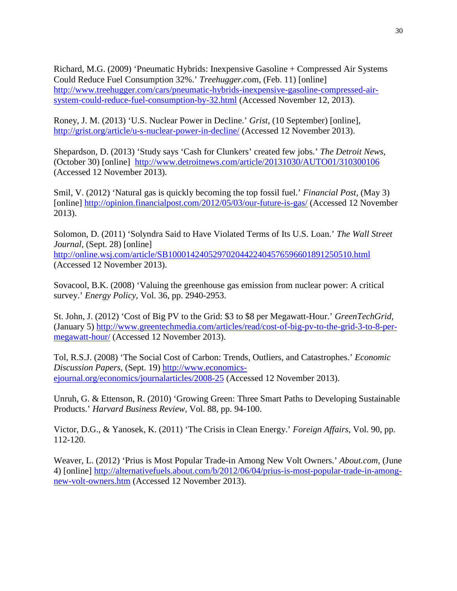Richard, M.G. (2009) 'Pneumatic Hybrids: Inexpensive Gasoline + Compressed Air Systems Could Reduce Fuel Consumption 32%.' *Treehugger.c*om, (Feb. 11) [online] [http://www.treehugger.com/cars/pneumatic-hybrids-inexpensive-gasoline-compressed-air](http://www.treehugger.com/cars/pneumatic-hybrids-inexpensive-gasoline-compressed-air-system-could-reduce-fuel-consumption-by-32.html)[system-could-reduce-fuel-consumption-by-32.html](http://www.treehugger.com/cars/pneumatic-hybrids-inexpensive-gasoline-compressed-air-system-could-reduce-fuel-consumption-by-32.html) (Accessed November 12, 2013).

Roney, J. M. (2013) 'U.S. Nuclear Power in Decline.' *Grist,* (10 September) [online], <http://grist.org/article/u-s-nuclear-power-in-decline/> (Accessed 12 November 2013).

Shepardson, D. (2013) 'Study says 'Cash for Clunkers' created few jobs.' *The Detroit News,* (October 30) [online] <http://www.detroitnews.com/article/20131030/AUTO01/310300106> (Accessed 12 November 2013).

Smil, V. (2012) 'Natural gas is quickly becoming the top fossil fuel.' *Financial Post,* (May 3) [online]<http://opinion.financialpost.com/2012/05/03/our-future-is-gas/> (Accessed 12 November 2013).

Solomon, D. (2011) 'Solyndra Said to Have Violated Terms of Its U.S. Loan.' *The Wall Street Journal,* (Sept. 28) [online] <http://online.wsj.com/article/SB10001424052970204422404576596601891250510.html> (Accessed 12 November 2013).

Sovacool, B.K. (2008) 'Valuing the greenhouse gas emission from nuclear power: A critical survey.' *Energy Policy*, Vol. 36, pp. 2940-2953.

St. John, J. (2012) 'Cost of Big PV to the Grid: \$3 to \$8 per Megawatt-Hour.' *GreenTechGrid,* (January 5) [http://www.greentechmedia.com/articles/read/cost-of-big-pv-to-the-grid-3-to-8-per](http://www.greentechmedia.com/articles/read/cost-of-big-pv-to-the-grid-3-to-8-per-megawatt-hour/)[megawatt-hour/](http://www.greentechmedia.com/articles/read/cost-of-big-pv-to-the-grid-3-to-8-per-megawatt-hour/) (Accessed 12 November 2013).

Tol, R.S.J. (2008) 'The Social Cost of Carbon: Trends, Outliers, and Catastrophes.' *Economic Discussion Papers,* (Sept. 19) [http://www.economics](http://www.economics-ejournal.org/economics/journalarticles/2008-25)[ejournal.org/economics/journalarticles/2008-25](http://www.economics-ejournal.org/economics/journalarticles/2008-25) (Accessed 12 November 2013).

Unruh, G. & Ettenson, R. (2010) 'Growing Green: Three Smart Paths to Developing Sustainable Products.' *Harvard Business Review,* Vol. 88, pp. 94-100.

Victor, D.G., & Yanosek, K. (2011) 'The Crisis in Clean Energy.' *Foreign Affairs,* Vol. 90, pp. 112-120.

Weaver, L. (2012) 'Prius is Most Popular Trade-in Among New Volt Owners.' *About.com,* (June 4) [online] [http://alternativefuels.about.com/b/2012/06/04/prius-is-most-popular-trade-in-among](http://alternativefuels.about.com/b/2012/06/04/prius-is-most-popular-trade-in-among-new-volt-owners.htm)[new-volt-owners.htm](http://alternativefuels.about.com/b/2012/06/04/prius-is-most-popular-trade-in-among-new-volt-owners.htm) (Accessed 12 November 2013).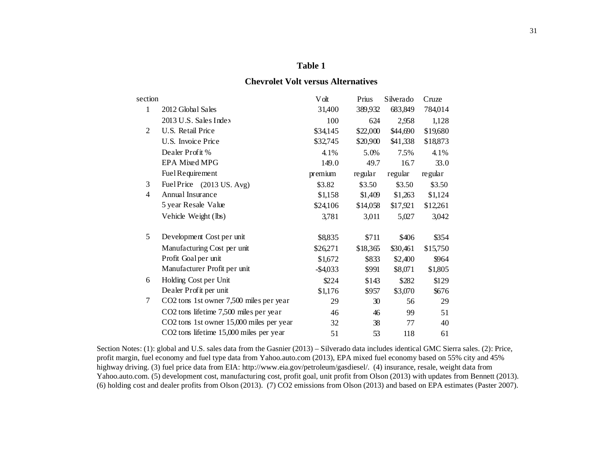## **Chevrolet Volt versus Alternatives**

| section        |                                          | V olt       | Prius    | Silverado | Cruze    |
|----------------|------------------------------------------|-------------|----------|-----------|----------|
| $\mathbf{1}$   | 2012 Global Sales                        | 31,400      | 389,932  | 683,849   | 784,014  |
|                | 2013 U.S. Sales Index                    | 100         | 624      | 2,958     | 1,128    |
| $\overline{2}$ | U.S. Retail Price                        | \$34,145    | \$22,000 | \$44,690  | \$19,680 |
|                | U.S. Invoice Price                       | \$32,745    | \$20,900 | \$41,338  | \$18,873 |
|                | Dealer Profit %                          | 4.1%        | 5.0%     | 7.5%      | 4.1%     |
|                | EPA Mixed MPG                            | 149.0       | 49.7     | 16.7      | 33.0     |
|                | Fuel Requirement                         | premium     | regular  | regular   | regular  |
| 3              | FuelPrice (2013 US. Avg)                 | \$3.82      | \$3.50   | \$3.50    | \$3.50   |
| 4              | Annual Insurance                         | \$1,158     | \$1,409  | \$1,263   | \$1,124  |
|                | 5 year Resale Value                      | \$24,106    | \$14,058 | \$17,921  | \$12,261 |
|                | Vehicle Weight (lbs)                     | 3,781       | 3,011    | 5,027     | 3,042    |
| 5              | Development Cost per unit                | \$8,835     | \$711    | \$406     | \$354    |
|                | Manufacturing Cost per unit              | \$26,271    | \$18,365 | \$30,461  | \$15,750 |
|                | Profit Goalper unit                      | \$1,672     | \$833    | \$2,400   | \$964    |
|                | Manufacturer Profit per unit             | $-$ \$4,033 | \$991    | \$8,071   | \$1,805  |
| 6              | Holding Cost per Unit                    | \$224       | \$143    | \$282     | \$129    |
|                | Dealer Profit per unit                   | \$1,176     | \$957    | \$3,070   | \$676    |
| 7              | CO2 tons 1st owner 7,500 miles per year  | 29          | 30       | 56        | 29       |
|                | CO2 tons lifetime 7,500 miles per year   | 46          | 46       | 99        | 51       |
|                | CO2 tons 1st owner 15,000 miles per year | 32          | 38       | 77        | 40       |
|                | CO2 tons lifetime 15,000 miles per year  | 51          | 53       | 118       | 61       |

Section Notes: (1): global and U.S. sales data from the Gasnier (2013) – Silverado data includes identical GMC Sierra sales. (2): Price, profit margin, fuel economy and fuel type data from Yahoo.auto.com (2013), EPA mixed fuel economy based on 55% city and 45% highway driving. (3) fuel price data from EIA: http://www.eia.gov/petroleum/gasdiesel/. (4) insurance, resale, weight data from Yahoo.auto.com. (5) development cost, manufacturing cost, profit goal, unit profit from Olson (2013) with updates from Bennett (2013). (6) holding cost and dealer profits from Olson (2013). (7) CO2 emissions from Olson (2013) and based on EPA estimates (Paster 2007).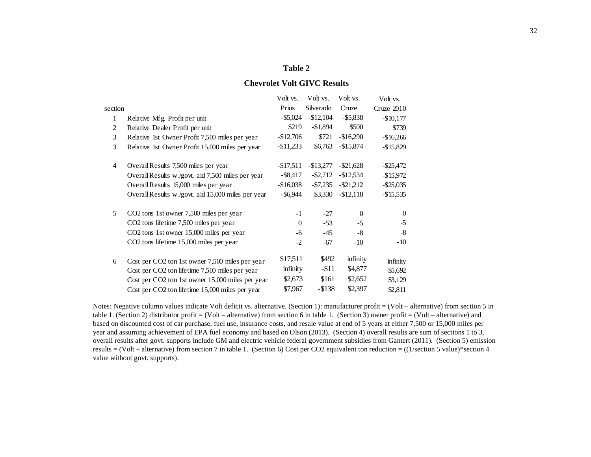## **Chevrolet Volt GIVC Results**

|                |                                                    | Volt vs.     | Volt vs.    | Volt vs.     | Volt vs.     |
|----------------|----------------------------------------------------|--------------|-------------|--------------|--------------|
| section        |                                                    | Prius        | Silverado   | Cruze        | Cruze $2010$ |
| 1              | Relative Mfg. Profit per unit                      | $-$ \$5,024  | $-$12,104$  | $-$ \$5,838  | $-$10,177$   |
| 2              | Relative Dealer Profit per unit                    | \$219        | $-$1,894$   | \$500        | \$739        |
| 3              | Relative 1st Owner Profit 7,500 miles per year     | $-$12,706$   | \$721       | $-$16,290$   | $-$16,266$   |
| 3              | Relative 1st Owner Profit 15,000 miles per year    | $-$11,233$   | \$6,763     | $-$15,874$   | $-$15,829$   |
| $\overline{4}$ | Overall Results 7,500 miles per year               | $-$17,511$   | $-$13,277$  | $-$ \$21,628 | $-$ \$25,472 |
|                | Overall Results w./govt. aid 7,500 miles per year  | $-$ \$8,417  | $-$ \$2,712 | $-$12,534$   | $-$15,972$   |
|                | Overall Results 15,000 miles per year              | $-$16,038$   | $-\$7,235$  | $-$ \$21,212 | $-$ \$25,035 |
|                | Overall Results w./govt. aid 15,000 miles per year | $-$ \$6,944  | \$3,330     | $-$12,118$   | $-$ \$15,535 |
| 5              | CO2 tons 1st owner 7,500 miles per year            | $-1$         | $-27$       | $\mathbf{0}$ | $\Omega$     |
|                | CO2 tons lifetime 7,500 miles per year             | $\mathbf{0}$ | $-53$       | $-5$         | $-5$         |
|                | CO2 tons 1st owner 15,000 miles per year           | $-6$         | -45         | $-8$         | $-8$         |
|                | CO2 tons lifetime 15,000 miles per year            | $-2$         | -67         | $-10$        | $-10$        |
| 6              | Cost per CO2 ton 1st owner 7,500 miles per year    | \$17,511     | \$492       | infinity     | infinity     |
|                | Cost per CO2 ton lifetime 7,500 miles per year     | infinity     | $-11$       | \$4,877      | \$5,692      |
|                | Cost per CO2 ton 1st owner 15,000 miles per year   | \$2,673      | \$161       | \$2,652      | \$3,129      |
|                | Cost per CO2 ton lifetime 15,000 miles per year    | \$7,967      | $-$ \$138   | \$2,397      | \$2,811      |

Notes: Negative column values indicate Volt deficit vs. alternative. (Section 1): manufacturer profit = (Volt – alternative) from section 5 in table 1. (Section 2) distributor profit = (Volt – alternative) from section 6 in table 1. (Section 3) owner profit = (Volt – alternative) and based on discounted cost of car purchase, fuel use, insurance costs, and resale value at end of 5 years at either 7,500 or 15,000 miles per year and assuming achievement of EPA fuel economy and based on Olson (2013). (Section 4) overall results are sum of sections 1 to 3, overall results after govt. supports include GM and electric vehicle federal government subsidies from Gantert (2011). (Section 5) emission results = (Volt – alternative) from section 7 in table 1. (Section 6) Cost per CO2 equivalent ton reduction =  $((1/\text{section 5 value})$ \*section 4 value without govt. supports).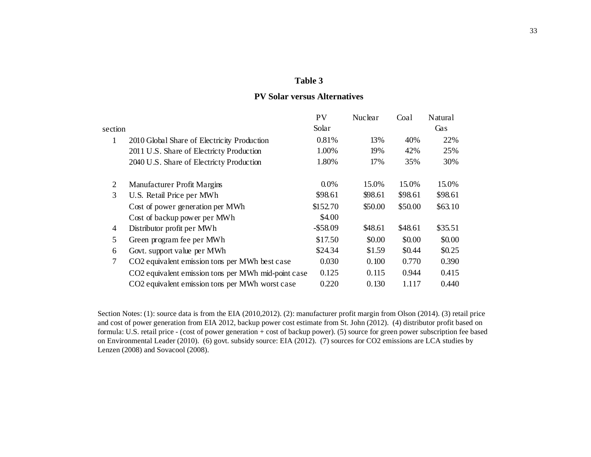## **PV Solar versus Alternatives**

|                |                                                            | PV          | Nuclear | Coal    | Natural |
|----------------|------------------------------------------------------------|-------------|---------|---------|---------|
| section        |                                                            | Solar       |         |         | Gas     |
| 1              | 2010 Global Share of Electricity Production                | 0.81%       | 13%     | 40%     | 22%     |
|                | 2011 U.S. Share of Electricty Production                   | 1.00%       | 19%     | 42%     | 25%     |
|                | 2040 U.S. Share of Electricty Production                   | 1.80%       | 17%     | 35%     | 30%     |
| 2              | Manufacturer Profit Margins                                | $0.0\%$     | 15.0%   | 15.0%   | 15.0%   |
| 3              | U.S. Retail Price per MWh                                  | \$98.61     | \$98.61 | \$98.61 | \$98.61 |
|                | Cost of power generation per MWh                           | \$152.70    | \$50.00 | \$50.00 | \$63.10 |
|                | Cost of backup power per MWh                               | \$4.00      |         |         |         |
| 4              | Distributor profit per MWh                                 | $-$ \$58.09 | \$48.61 | \$48.61 | \$35.51 |
| 5              | Green program fee per MWh                                  | \$17.50     | \$0.00  | \$0.00  | \$0.00  |
| 6              | Govt. support value per MWh                                | \$24.34     | \$1.59  | \$0.44  | \$0.25  |
| $\overline{7}$ | CO <sub>2</sub> equivalent emission tons per MWh best case | 0.030       | 0.100   | 0.770   | 0.390   |
|                | CO2 equivalent emission tons per MWh mid-point case        | 0.125       | 0.115   | 0.944   | 0.415   |
|                | CO2 equivalent emission tons per MWh worst case            | 0.220       | 0.130   | 1.117   | 0.440   |

Section Notes: (1): source data is from the EIA (2010,2012). (2): manufacturer profit margin from Olson (2014). (3) retail price and cost of power generation from EIA 2012, backup power cost estimate from St. John (2012). (4) distributor profit based on formula: U.S. retail price - (cost of power generation + cost of backup power). (5) source for green power subscription fee based on Environmental Leader (2010). (6) govt. subsidy source: EIA (2012). (7) sources for CO2 emissions are LCA studies by Lenzen (2008) and Sovacool (2008).